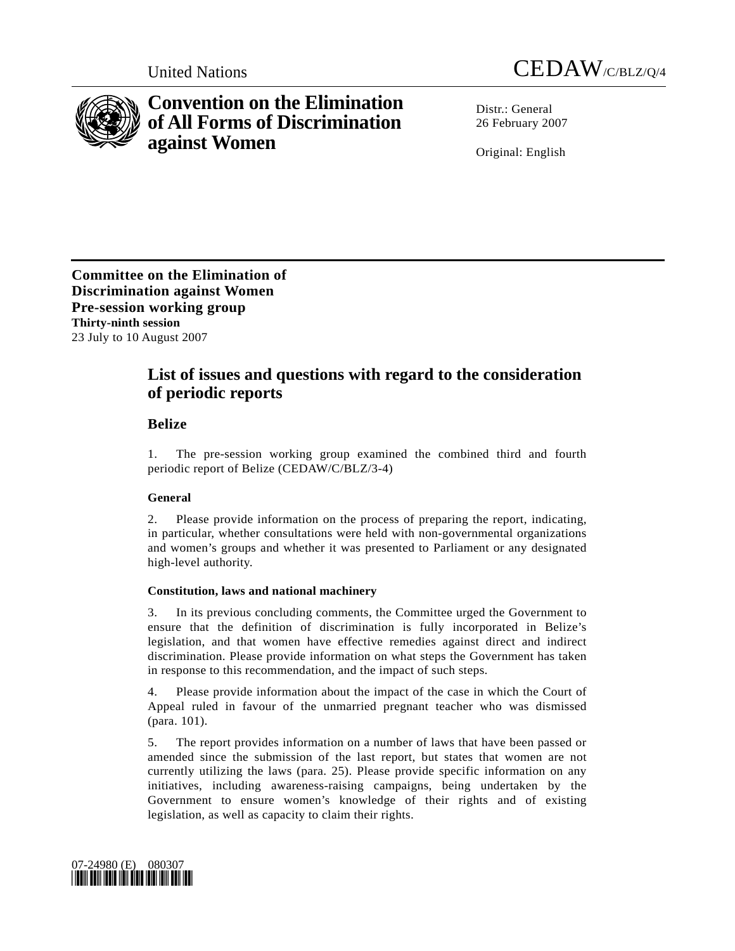



# **Convention on the Elimination of All Forms of Discrimination against Women**

Distr · General 26 February 2007

Original: English

**Committee on the Elimination of Discrimination against Women Pre-session working group Thirty-ninth session**  23 July to 10 August 2007

## **List of issues and questions with regard to the consideration of periodic reports**

## **Belize**

1. The pre-session working group examined the combined third and fourth periodic report of Belize (CEDAW/C/BLZ/3-4)

## **General**

2. Please provide information on the process of preparing the report, indicating, in particular, whether consultations were held with non-governmental organizations and women's groups and whether it was presented to Parliament or any designated high-level authority.

### **Constitution, laws and national machinery**

3. In its previous concluding comments, the Committee urged the Government to ensure that the definition of discrimination is fully incorporated in Belize's legislation, and that women have effective remedies against direct and indirect discrimination. Please provide information on what steps the Government has taken in response to this recommendation, and the impact of such steps.

4. Please provide information about the impact of the case in which the Court of Appeal ruled in favour of the unmarried pregnant teacher who was dismissed (para. 101).

5. The report provides information on a number of laws that have been passed or amended since the submission of the last report, but states that women are not currently utilizing the laws (para. 25). Please provide specific information on any initiatives, including awareness-raising campaigns, being undertaken by the Government to ensure women's knowledge of their rights and of existing legislation, as well as capacity to claim their rights.

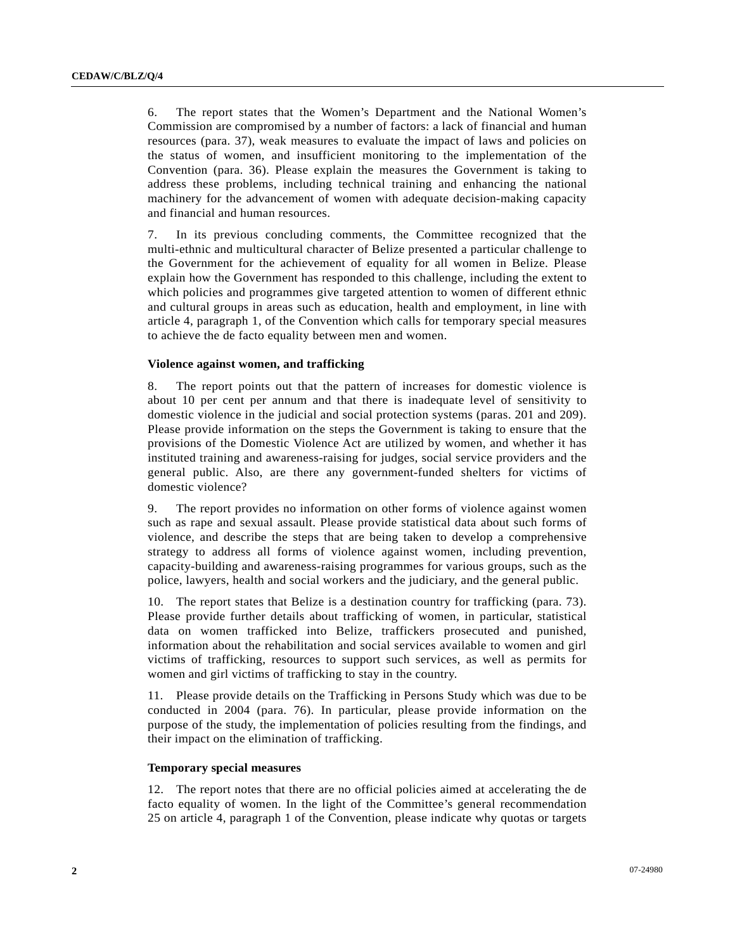6. The report states that the Women's Department and the National Women's Commission are compromised by a number of factors: a lack of financial and human resources (para. 37), weak measures to evaluate the impact of laws and policies on the status of women, and insufficient monitoring to the implementation of the Convention (para. 36). Please explain the measures the Government is taking to address these problems, including technical training and enhancing the national machinery for the advancement of women with adequate decision-making capacity and financial and human resources.

7. In its previous concluding comments, the Committee recognized that the multi-ethnic and multicultural character of Belize presented a particular challenge to the Government for the achievement of equality for all women in Belize. Please explain how the Government has responded to this challenge, including the extent to which policies and programmes give targeted attention to women of different ethnic and cultural groups in areas such as education, health and employment, in line with article 4, paragraph 1, of the Convention which calls for temporary special measures to achieve the de facto equality between men and women.

#### **Violence against women, and trafficking**

8. The report points out that the pattern of increases for domestic violence is about 10 per cent per annum and that there is inadequate level of sensitivity to domestic violence in the judicial and social protection systems (paras. 201 and 209). Please provide information on the steps the Government is taking to ensure that the provisions of the Domestic Violence Act are utilized by women, and whether it has instituted training and awareness-raising for judges, social service providers and the general public. Also, are there any government-funded shelters for victims of domestic violence?

9. The report provides no information on other forms of violence against women such as rape and sexual assault. Please provide statistical data about such forms of violence, and describe the steps that are being taken to develop a comprehensive strategy to address all forms of violence against women, including prevention, capacity-building and awareness-raising programmes for various groups, such as the police, lawyers, health and social workers and the judiciary, and the general public.

10. The report states that Belize is a destination country for trafficking (para. 73). Please provide further details about trafficking of women, in particular, statistical data on women trafficked into Belize, traffickers prosecuted and punished, information about the rehabilitation and social services available to women and girl victims of trafficking, resources to support such services, as well as permits for women and girl victims of trafficking to stay in the country.

11. Please provide details on the Trafficking in Persons Study which was due to be conducted in 2004 (para. 76). In particular, please provide information on the purpose of the study, the implementation of policies resulting from the findings, and their impact on the elimination of trafficking.

#### **Temporary special measures**

12. The report notes that there are no official policies aimed at accelerating the de facto equality of women. In the light of the Committee's general recommendation 25 on article 4, paragraph 1 of the Convention, please indicate why quotas or targets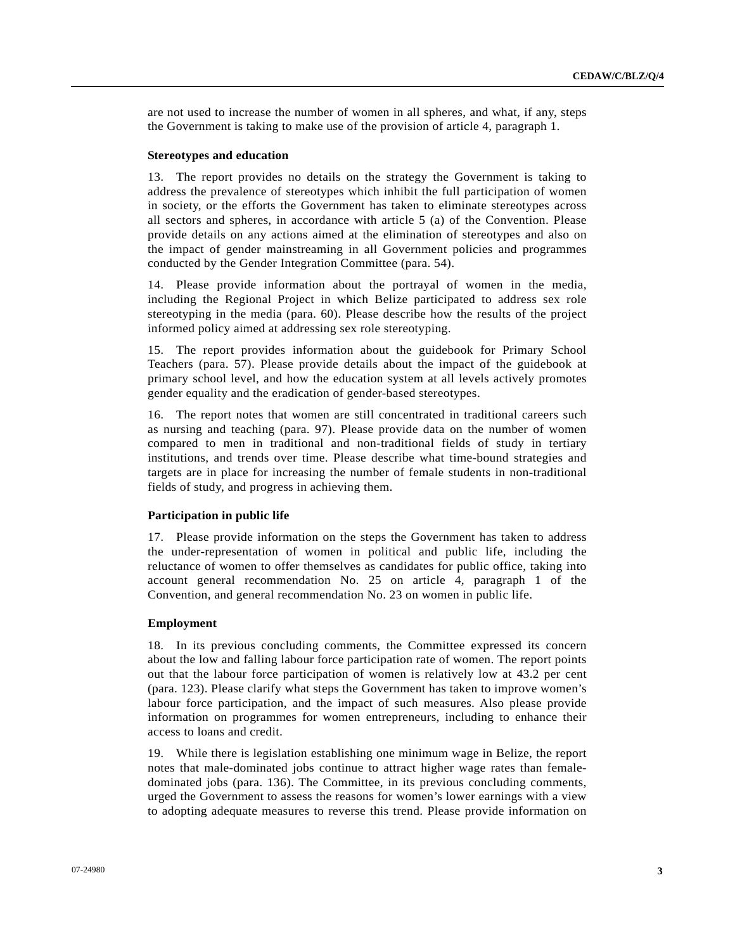are not used to increase the number of women in all spheres, and what, if any, steps the Government is taking to make use of the provision of article 4, paragraph 1.

#### **Stereotypes and education**

13. The report provides no details on the strategy the Government is taking to address the prevalence of stereotypes which inhibit the full participation of women in society, or the efforts the Government has taken to eliminate stereotypes across all sectors and spheres, in accordance with article 5 (a) of the Convention. Please provide details on any actions aimed at the elimination of stereotypes and also on the impact of gender mainstreaming in all Government policies and programmes conducted by the Gender Integration Committee (para. 54).

14. Please provide information about the portrayal of women in the media, including the Regional Project in which Belize participated to address sex role stereotyping in the media (para. 60). Please describe how the results of the project informed policy aimed at addressing sex role stereotyping.

15. The report provides information about the guidebook for Primary School Teachers (para. 57). Please provide details about the impact of the guidebook at primary school level, and how the education system at all levels actively promotes gender equality and the eradication of gender-based stereotypes.

16. The report notes that women are still concentrated in traditional careers such as nursing and teaching (para. 97). Please provide data on the number of women compared to men in traditional and non-traditional fields of study in tertiary institutions, and trends over time. Please describe what time-bound strategies and targets are in place for increasing the number of female students in non-traditional fields of study, and progress in achieving them.

#### **Participation in public life**

17. Please provide information on the steps the Government has taken to address the under-representation of women in political and public life, including the reluctance of women to offer themselves as candidates for public office, taking into account general recommendation No. 25 on article 4, paragraph 1 of the Convention, and general recommendation No. 23 on women in public life.

#### **Employment**

18. In its previous concluding comments, the Committee expressed its concern about the low and falling labour force participation rate of women. The report points out that the labour force participation of women is relatively low at 43.2 per cent (para. 123). Please clarify what steps the Government has taken to improve women's labour force participation, and the impact of such measures. Also please provide information on programmes for women entrepreneurs, including to enhance their access to loans and credit.

19. While there is legislation establishing one minimum wage in Belize, the report notes that male-dominated jobs continue to attract higher wage rates than femaledominated jobs (para. 136). The Committee, in its previous concluding comments, urged the Government to assess the reasons for women's lower earnings with a view to adopting adequate measures to reverse this trend. Please provide information on